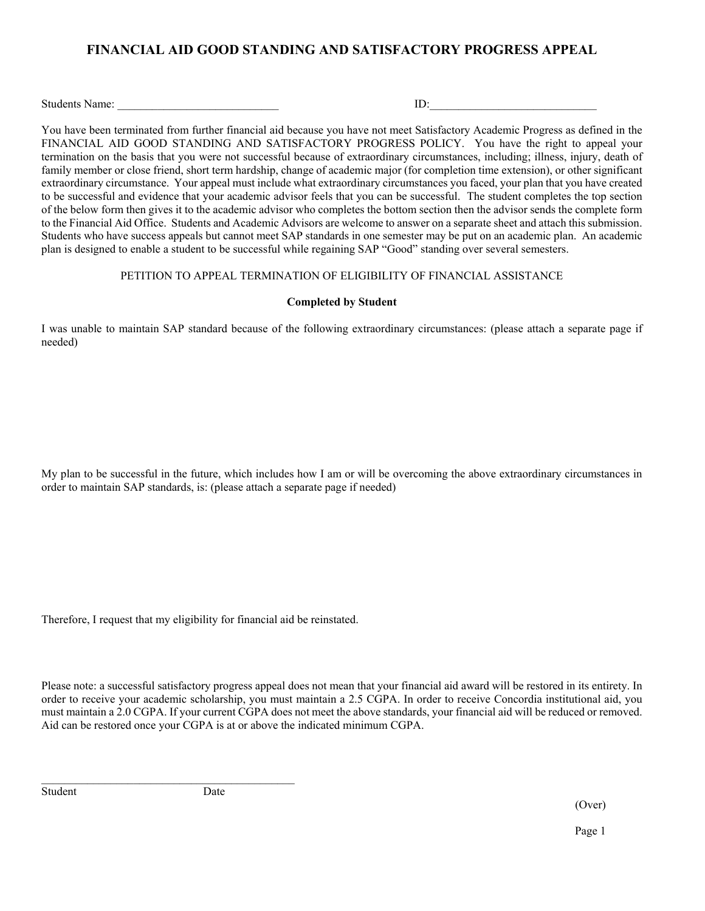# **FINANCIAL AID GOOD STANDING AND SATISFACTORY PROGRESS APPEAL**

Students Name: \_\_\_\_\_\_\_\_\_\_\_\_\_\_\_\_\_\_\_\_\_\_\_\_\_\_\_\_ ID:\_\_\_\_\_\_\_\_\_\_\_\_\_\_\_\_\_\_\_\_\_\_\_\_\_\_\_\_\_

You have been terminated from further financial aid because you have not meet Satisfactory Academic Progress as defined in the FINANCIAL AID GOOD STANDING AND SATISFACTORY PROGRESS POLICY. You have the right to appeal your termination on the basis that you were not successful because of extraordinary circumstances, including; illness, injury, death of family member or close friend, short term hardship, change of academic major (for completion time extension), or other significant extraordinary circumstance. Your appeal must include what extraordinary circumstances you faced, your plan that you have created to be successful and evidence that your academic advisor feels that you can be successful. The student completes the top section of the below form then gives it to the academic advisor who completes the bottom section then the advisor sends the complete form to the Financial Aid Office. Students and Academic Advisors are welcome to answer on a separate sheet and attach this submission. Students who have success appeals but cannot meet SAP standards in one semester may be put on an academic plan. An academic plan is designed to enable a student to be successful while regaining SAP "Good" standing over several semesters.

#### PETITION TO APPEAL TERMINATION OF ELIGIBILITY OF FINANCIAL ASSISTANCE

#### **Completed by Student**

I was unable to maintain SAP standard because of the following extraordinary circumstances: (please attach a separate page if needed)

My plan to be successful in the future, which includes how I am or will be overcoming the above extraordinary circumstances in order to maintain SAP standards, is: (please attach a separate page if needed)

Therefore, I request that my eligibility for financial aid be reinstated.

Please note: a successful satisfactory progress appeal does not mean that your financial aid award will be restored in its entirety. In order to receive your academic scholarship, you must maintain a 2.5 CGPA. In order to receive Concordia institutional aid, you must maintain a 2.0 CGPA. If your current CGPA does not meet the above standards, your financial aid will be reduced or removed. Aid can be restored once your CGPA is at or above the indicated minimum CGPA.

Student Date

(Over)